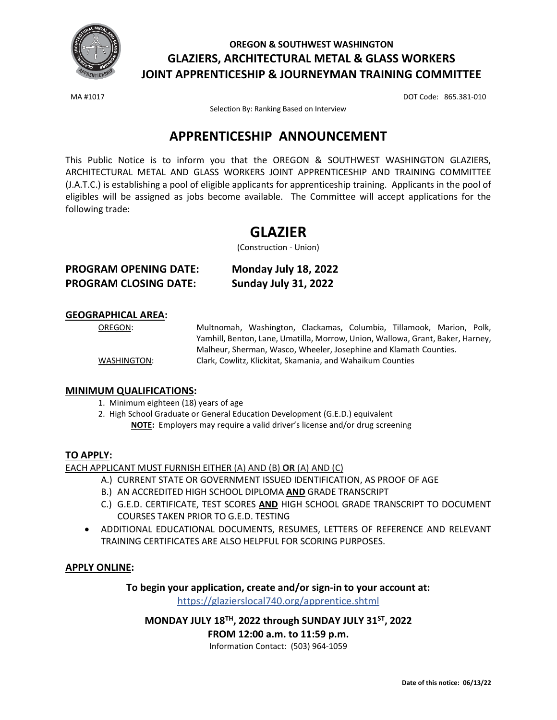

## **OREGON & SOUTHWEST WASHINGTON GLAZIERS, ARCHITECTURAL METAL & GLASS WORKERS JOINT APPRENTICESHIP & JOURNEYMAN TRAINING COMMITTEE**

MA #1017 DOT Code: 865.381-010

Selection By: Ranking Based on Interview

## **APPRENTICESHIP ANNOUNCEMENT**

This Public Notice is to inform you that the OREGON & SOUTHWEST WASHINGTON GLAZIERS, ARCHITECTURAL METAL AND GLASS WORKERS JOINT APPRENTICESHIP AND TRAINING COMMITTEE (J.A.T.C.) is establishing a pool of eligible applicants for apprenticeship training. Applicants in the pool of eligibles will be assigned as jobs become available. The Committee will accept applications for the following trade:

# **GLAZIER**

(Construction - Union)

| <b>PROGRAM OPENING DATE:</b> | Monday July 18, 2022 |
|------------------------------|----------------------|
| <b>PROGRAM CLOSING DATE:</b> | Sunday July 31, 2022 |

### **GEOGRAPHICAL AREA:**

OREGON: Multnomah, Washington, Clackamas, Columbia, Tillamook, Marion, Polk, Yamhill, Benton, Lane, Umatilla, Morrow, Union, Wallowa, Grant, Baker, Harney, Malheur, Sherman, Wasco, Wheeler, Josephine and Klamath Counties. WASHINGTON: Clark, Cowlitz, Klickitat, Skamania, and Wahaikum Counties

## **MINIMUM QUALIFICATIONS:**

- 1. Minimum eighteen (18) years of age
- 2. High School Graduate or General Education Development (G.E.D.) equivalent **NOTE:** Employers may require a valid driver's license and/or drug screening

## **TO APPLY:**

EACH APPLICANT MUST FURNISH EITHER (A) AND (B) **OR** (A) AND (C)

- A.) CURRENT STATE OR GOVERNMENT ISSUED IDENTIFICATION, AS PROOF OF AGE
- B.) AN ACCREDITED HIGH SCHOOL DIPLOMA **AND** GRADE TRANSCRIPT
- C.) G.E.D. CERTIFICATE, TEST SCORES **AND** HIGH SCHOOL GRADE TRANSCRIPT TO DOCUMENT COURSES TAKEN PRIOR TO G.E.D. TESTING
- ADDITIONAL EDUCATIONAL DOCUMENTS, RESUMES, LETTERS OF REFERENCE AND RELEVANT TRAINING CERTIFICATES ARE ALSO HELPFUL FOR SCORING PURPOSES.

## **APPLY ONLINE:**

**To begin your application, create and/or sign-in to your account at:** <https://glazierslocal740.org/apprentice.shtml>

**MONDAY JULY 18TH, 2022 through SUNDAY JULY 31ST, 2022**

**FROM 12:00 a.m. to 11:59 p.m.**

Information Contact: (503) 964-1059